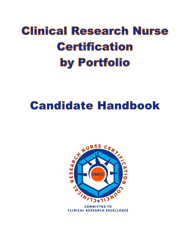# **Clinical Research Nurse Certification** by Portfolio

## **Candidate Handbook**



**COMMITTED TO CLINICAL RESEARCH EXCELLENCE**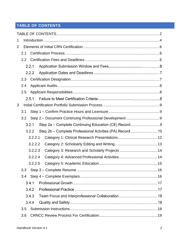## <span id="page-1-0"></span>**TABLE OF CONTENTS**

| 1 |                  |         |                                                      |     |  |  |  |
|---|------------------|---------|------------------------------------------------------|-----|--|--|--|
| 2 |                  |         |                                                      |     |  |  |  |
|   | 2.1              |         |                                                      |     |  |  |  |
|   | $2.2\phantom{0}$ |         |                                                      |     |  |  |  |
|   |                  | 2.2.1   |                                                      |     |  |  |  |
|   |                  | 2.2.2   |                                                      |     |  |  |  |
|   | 2.3              |         |                                                      |     |  |  |  |
|   | 2.4              |         |                                                      |     |  |  |  |
|   | 2.5              |         |                                                      |     |  |  |  |
|   |                  | 2.5.1   |                                                      |     |  |  |  |
| 3 |                  |         |                                                      |     |  |  |  |
|   | 3.1              |         |                                                      |     |  |  |  |
|   | 3.2              |         |                                                      |     |  |  |  |
|   |                  | 3.2.1   | Step 2a - Complete Continuing Education (CE) Record9 |     |  |  |  |
|   |                  | 3.2.2   |                                                      |     |  |  |  |
|   |                  | 3.2.2.1 |                                                      |     |  |  |  |
|   |                  | 3.2.2.2 |                                                      |     |  |  |  |
|   |                  | 3.2.2.3 | Category 3: Research and Scholarly Projects  14      |     |  |  |  |
|   |                  | 3.2.2.4 |                                                      |     |  |  |  |
|   |                  | 3.2.2.5 |                                                      |     |  |  |  |
|   | 3.3              |         |                                                      | .16 |  |  |  |
|   | 3.4              |         |                                                      |     |  |  |  |
|   |                  | 3.4.1   |                                                      |     |  |  |  |
|   |                  | 3.4.2   |                                                      |     |  |  |  |
|   |                  | 3.4.3   |                                                      |     |  |  |  |
|   |                  | 3.4.4   |                                                      |     |  |  |  |
|   | 3.5              |         |                                                      |     |  |  |  |
|   | 3.6              |         |                                                      |     |  |  |  |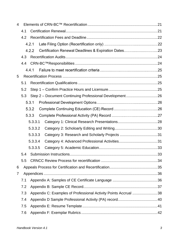| 4            |       |                                                                 |                                                         |  |  |
|--------------|-------|-----------------------------------------------------------------|---------------------------------------------------------|--|--|
|              | 4.1   |                                                                 |                                                         |  |  |
|              | 4.2   |                                                                 |                                                         |  |  |
|              |       | 4.2.1                                                           |                                                         |  |  |
|              |       | 4.2.2                                                           |                                                         |  |  |
|              | 4.3   |                                                                 |                                                         |  |  |
|              | 4.4   |                                                                 |                                                         |  |  |
|              |       | 4.4.1                                                           |                                                         |  |  |
| 5            |       |                                                                 |                                                         |  |  |
|              | 5.1   |                                                                 |                                                         |  |  |
|              | 5.2   |                                                                 |                                                         |  |  |
|              | 5.3   |                                                                 | Step 2 - Document Continuing Professional Development26 |  |  |
|              |       | 5.3.1                                                           |                                                         |  |  |
|              | 5.3.2 |                                                                 |                                                         |  |  |
|              | 5.3.3 |                                                                 |                                                         |  |  |
|              |       | 5.3.3.1                                                         |                                                         |  |  |
|              |       | 5.3.3.2                                                         |                                                         |  |  |
|              |       | 5.3.3.3                                                         |                                                         |  |  |
|              |       | 5.3.3.4                                                         |                                                         |  |  |
|              |       | 5.3.3.5                                                         |                                                         |  |  |
|              | 5.4   |                                                                 |                                                         |  |  |
|              |       |                                                                 |                                                         |  |  |
| 6            |       |                                                                 |                                                         |  |  |
| $\mathbf{7}$ |       |                                                                 |                                                         |  |  |
|              | 7.1   |                                                                 |                                                         |  |  |
|              | 7.2   |                                                                 |                                                         |  |  |
|              | 7.3   | Appendix C: Examples of Professional Activity Points Accrual 38 |                                                         |  |  |
|              | 7.4   |                                                                 |                                                         |  |  |
|              | 7.5   |                                                                 |                                                         |  |  |
|              | 7.6   |                                                                 |                                                         |  |  |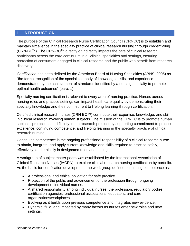## <span id="page-3-0"></span>**1 INTRODUCTION**

The purpose of the Clinical Research Nurse Certification Council (CRNCC) is to establish and maintain excellence in the specialty practice of clinical research nursing through credentialing (CRN-BCTM). The CRN-BCTM directly or indirectly impacts the care of clinical research participants across the care continuum in all clinical specialties and settings, ensuring protection of consumers engaged in clinical research and the public who benefit from research discovery.

*Certification* has been defined by the American Board of Nursing Specialties (ABNS, 2005) as "the formal recognition of the specialized body of knowledge, skills, and experience demonstrated by the achievement of standards identified by a nursing specialty to promote optimal health outcomes" (para. 1).

Specialty nursing certification is relevant to every area of nursing practice. Nurses across nursing roles and practice settings can impact health care quality by demonstrating their specialty knowledge and their commitment to lifelong learning through certification.

Certified clinical research nurses (CRN-BC™) contribute their expertise, knowledge, and skill in clinical research involving human subjects. The mission of the CRNCC is to promote human subjects' protections and fidelity to the research protocol by supporting commitment to practice excellence, continuing competence, and lifelong learning in the specialty practice of clinical research nursing.

Continuing competence is the ongoing professional responsibility of a clinical research nurse to obtain, integrate, and apply current knowledge and skills required to practice safely, effectively, and ethically in designated roles and settings.

A workgroup of subject matter peers was established by the International Association of Clinical Research Nurses (IACRN) to explore clinical research nursing certification by portfolio. As the basis for certification development, the work group defined continuing competence as:

- A professional and ethical obligation for safe practice.
- Protection of the public and advancement of the profession through ongoing development of individual nurses.
- A shared responsibility among individual nurses, the profession, regulatory bodies, certification agencies, professional associations, educators, and care organizations/workplaces.
- Evolving as it builds upon previous competence and integrates new evidence.
- Dynamic, fluid, and impacted by many factors as nurses enter new roles and new settings.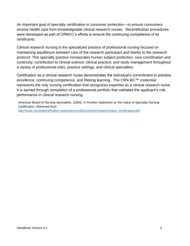An important goal of specialty certification is consumer protection—to ensure consumers receive health care from knowledgeable clinical research nurses. Recertification procedures were developed as part of CRNCC's efforts to ensure the continuing competence of its certificants.

Clinical research nursing is the specialized practice of professional nursing focused on maintaining equilibrium between care of the research participant and fidelity to the research protocol. This specialty practice incorporates human subject protection; care coordination and continuity; contribution to clinical science; clinical practice; and study management throughout a variety of professional roles, practice settings, and clinical specialties.

Certification as a clinical research nurse demonstrates the individual's commitment to practice excellence, continuing competence, and lifelong learning. The CRN-BC™ credential represents the only nursing certification that recognizes expertise as a clinical research nurse. It is earned through completion of a professional portfolio that validates the applicant's role performance in clinical research nursing.

*American Board of Nursing Specialties. (2005). A Position Statement on the Value of Specialty Nursing Certification. Retrieved from [http://www.nursingcertification.org/resources/Documents/research/value\\_certification.pdf](http://www.nursingcertification.org/resources/Documents/research/value_certification.pdf)*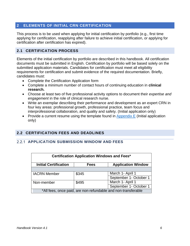## <span id="page-5-0"></span>**2 ELEMENTS OF INITIAL CRN CERTIFICATION**

This process is to be used when applying for initial certification by portfolio (e.g., first time applying for certification, reapplying after failure to achieve initial certification, or applying for certification after certification has expired).

#### <span id="page-5-1"></span>**2.1 CERTIFICATION PROCESS**

Elements of the initial certification by portfolio are described in this handbook. All certification documents must be submitted in English. Certification by portfolio will be based solely on the submitted application materials. Candidates for certification must meet all eligibility requirements for certification and submit evidence of the required documentation. Briefly, candidates must:

- Complete the Certification Application form
- Complete a minimum number of contact hours of continuing education in **clinical research.**
- Choose at least two of five professional activity options to document their *expertise and engagement* in the role of clinical research nurse.
- Write an exemplar describing their performance and development as an expert CRN in four key areas: professional growth, professional practice, team focus and interprofessional collaboration, and quality and safety. (Initial application only)
- Provide a current resume using the template found in [Appendix E](#page-40-0) (Initial application only)

## <span id="page-5-2"></span>**2.2 CERTIFICATION FEES AND DEADLINES**

#### <span id="page-5-3"></span>**APPLICATION SUBMISSION WINDOW AND FEES**

| Certification Application Windows and Fees*                              |       |                        |  |  |  |  |
|--------------------------------------------------------------------------|-------|------------------------|--|--|--|--|
| <b>Initial Certification</b><br><b>Application Window</b><br><b>Fees</b> |       |                        |  |  |  |  |
|                                                                          |       |                        |  |  |  |  |
| <b>IACRN Member</b>                                                      | \$345 | March 1- April 1       |  |  |  |  |
|                                                                          |       | September 1- October 1 |  |  |  |  |
| Non-member                                                               | \$495 | March 1- April 1       |  |  |  |  |
| September 1- October 1                                                   |       |                        |  |  |  |  |
| *All fees, once paid, are non-refundable and non-transferable            |       |                        |  |  |  |  |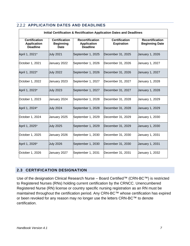| <b>Initial Certification &amp; Rectification Application Dates and Deadlines</b> |                                                         |                                                                 |                                           |                                                 |  |  |
|----------------------------------------------------------------------------------|---------------------------------------------------------|-----------------------------------------------------------------|-------------------------------------------|-------------------------------------------------|--|--|
| <b>Certification</b><br><b>Application</b><br><b>Deadline</b>                    | <b>Certification</b><br><b>Beginning</b><br><b>Date</b> | <b>Recertification</b><br><b>Application</b><br><b>Deadline</b> | <b>Certification</b><br><b>Expiration</b> | <b>Recertification</b><br><b>Beginning Date</b> |  |  |
| April 1, 2021*                                                                   | <b>July 2021</b>                                        | September 1, 2025                                               | December 31, 2025                         | January 1, 2026                                 |  |  |
| October 1, 2021                                                                  | January 2022                                            | September 1, 2026                                               | December 31, 2026                         | January 1, 2027                                 |  |  |
| April 1, 2022*                                                                   | <b>July 2022</b>                                        | September 1, 2026                                               | December 31, 2026                         | January 1, 2027                                 |  |  |
| October 1, 2022                                                                  | January 2023                                            | September 1, 2027                                               | December 31, 2027                         | January 1, 2028                                 |  |  |
| April 1, 2023*                                                                   | <b>July 2023</b>                                        | September 1, 2027                                               | December 31, 2027                         | <b>January 1, 2028</b>                          |  |  |
| October 1, 2023                                                                  | January 2024                                            | September 1, 2028                                               | December 31, 2028                         | January 1, 2029                                 |  |  |
| April 1, 2024*                                                                   | <b>July 2024</b>                                        | September 1, 2028                                               | December 31, 2028                         | <b>January 1, 2029</b>                          |  |  |
| October 1, 2024                                                                  | January 2025                                            | September 1, 2029                                               | December 31, 2029                         | January 1, 2030                                 |  |  |
| April 1, 2025*                                                                   | <b>July 2025</b>                                        | September 1, 2029                                               | December 31, 2029                         | January 1, 2030                                 |  |  |
| October 1, 2025                                                                  | January 2026                                            | September 1, 2030                                               | December 31, 2030                         | January 1, 2031                                 |  |  |
| April 1, 2026*                                                                   | <b>July 2026</b>                                        | September 1, 2030                                               | December 31, 2030                         | <b>January 1, 2031</b>                          |  |  |
| October 1, 2026                                                                  | January 2027                                            | September 1, 2031                                               | December 31, 2031                         | January 1, 2032                                 |  |  |

## **2.2.2 APPLICATION DATES AND DEADLINES**

## <span id="page-6-0"></span>**2.3 CERTIFICATION DESIGNATION**

Use of the designation Clinical Research Nurse – Board Certified™ (CRN-BC™) is restricted to Registered Nurses (RNs) holding current certification by the CRNCC. Unencumbered Registered Nurse (RN) license or country specific nursing registration as an RN must be maintained throughout the certification period. Any CRN-BC™ whose certification has expired or been revoked for any reason may no longer use the letters CRN-BC™ to denote certification.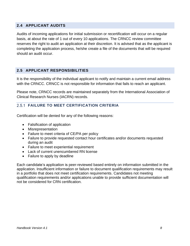## <span id="page-7-0"></span>**2.4 APPLICANT AUDITS**

Audits of incoming applications for initial submission or recertification will occur on a regular basis, at about the rate of 1 out of every 10 applications. The CRNCC review committee reserves the right to audit an application at their discretion. It is advised that as the applicant is completing the application process, he/she create a file of the documents that will be required should an audit occur.

## <span id="page-7-1"></span>**2.5 APPLICANT RESPONSIBILITIES**

It is the responsibility of the individual applicant to notify and maintain a current email address with the CRNCC. CRNCC is not responsible for information that fails to reach an applicant.

Please note, CRNCC records are maintained separately from the International Association of Clinical Research Nurses (IACRN) records.

## **2.5.1 FAILURE TO MEET CERTIFICATION CRITERIA**

Certification will be denied for any of the following reasons:

- Falsification of application
- Misrepresentation
- Failure to meet criteria of CE/PA per policy
- Failure to provide requested contact hour certificates and/or documents requested during an audit
- Failure to meet experiential requirement
- Lack of current unencumbered RN license
- Failure to apply by deadline

Each candidate's application is peer-reviewed based entirely on information submitted in the application. Insufficient information or failure to document qualification requirements may result in a portfolio that does not meet certification requirements. Candidates not meeting qualification requirements and/or applications unable to provide sufficient documentation will not be considered for CRN certification.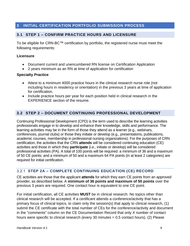## <span id="page-8-0"></span>**3 INITIAL CERTIFICATION PORTFOLIO SUBMISSION PROCESS**

#### <span id="page-8-1"></span>**3.1 STEP 1 – CONFIRM PRACTICE HOURS AND LICENSURE**

To be eligible for CRN-BC™ certification by portfolio, the registered nurse must meet the following requirements:

#### **Licensure**

- Document current and unencumbered RN license on Certification Application
- 2 years minimum as an RN at time of application for certification

#### **Specialty Practice**

- Attest to a minimum 4000 practice hours in the clinical research nurse role (not including hours in residency or orientation) in the previous 3 years at time of application for certification.
- Include practice hours per year for each position held in clinical research in the EXPERIENCE section of the resume.

#### <span id="page-8-2"></span>**3.2 STEP 2 – DOCUMENT CONTINUING PROFESSIONAL DEVELOPMENT**

Continuing Professional Development (CPD) is the term used to describe the learning activities professionals engage in to develop and enhance their knowledge, skills and performance. The learning activities may be in the form of those they attend as a learner (e.g., webinars, conferences, journal clubs) or those they initiate or develop (e.g., presentations, publications, academic courses, membership in professional nursing organizations). For the purposes of CRN certification, the activities that the CRN **attends** will be considered continuing education (CE) activities and those in which they **participate** (i.e., initiate or develop) will be considered professional activities (PA). A total of 100 points will be required: a minimum of 36 and a maximum of 50 CE points; and a minimum of 50 and a maximum 64 PA points (in at least 2 categories) are required for initial certification.

## **STEP 2A – COMPLETE CONTINUING EDUCATION (CE) RECORD**

CE activities are those that the applicant **attends** for which they earn CE points from an approved provider, as described below. A **minimum of 36 points and maximum of 50 points** over the previous 3 years are required. One contact hour is equivalent to one CE point.

For initial certification, all CE activities **MUST** be in clinical research. No topics other than clinical research will be accepted. If a certificant attends a conference/activity that has a primary focus of clinical topics, to claim only the session(s) that apply to clinical research, (1) submit the CE certificate with the total number of CEs for the conference/activity and document in the "comments" column on the CE Documentation Record that only *X* number of contact hours were specific to clinical research (every 30 minutes = 0.5 contact hours). (2) Please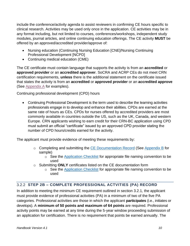include the conference/activity agenda to assist reviewers in confirming CE hours specific to clinical research. Activities may be used only once in the application. CE activities may be in any format including, but not limited to courses, conferences/workshops, independent study modules, journal articles, and online continuing education offerings. The CE activity **MUST** be offered by an approved/accredited provider/approve of:

- Nursing education (Continuing Nursing Education [CNE]/Nursing Continuing Professional Development [NCPD]
- Continuing medical education (CME)

The CE certificate must contain language that supports the activity is from an **accredited** or **approved provider** or an **accredited approver**. SoCRA and ACRP CEs do not meet CRN certification requirements, **unless** there is the additional statement on the certificate issued that states the activity is from an **accredited** or **approved provider** or an **accredited approve** (See [Appendix A](#page-35-2) for examples).

Continuing professional development (CPD) hours

• Continuing Professional Development is the term used to describe the learning activities professionals engage in to develop and enhance their abilities. CPDs are earned at the same rate of hours as CEs. CPDs for nurses offered by accredited providers are most commonly available in countries outside the US, such as the UK, Canada, and western Europe. CRN applicants wishing to earn credit for their CRN-BC application using CPD must submit an official "certificate" issued by an approved CPD provider stating the number of CPD hours/credits earned for the activity.

The applicant must provide evidence of meeting these requirements by:

- o Completing and submitting the [CE Documentation Record](https://960da0ef-eb17-4a12-a84c-8fde372d4cfa.filesusr.com/ugd/e60c5c_c527cdd7ffca41ae96c6495a0af7aaf5.xlsx?dn=Continuing%20Education%20Record%20(1).xlsx) (See [Appendix B](#page-36-1) for sample)
	- o See the [Application Checklist](https://www.crncc.org/_files/ugd/e60c5c_3ddf1220f2534b0cbee9e6d31a034143.pdf) for appropriate file naming convention to be used
- o Submitting **ONLY** certificates listed on the CE documentation form
	- o See the [Application Checklist](https://www.crncc.org/_files/ugd/e60c5c_3ddf1220f2534b0cbee9e6d31a034143.pdf) for appropriate file naming convention to be used

## **STEP 2B – COMPLETE PROFESSIONAL ACTVITIES (PA) RECORD**

In addition to meeting the minimum CE requirement outlined in section 3.2.1*,* the applicant must provide evidence of professional activities (PA) in a minimum of two of the five PA categories. Professional activities are those in which the applicant **participates** (i.e., initiates or develops). A **minimum of 50 points and maximum of 64 points** are required. Professional activity points may be earned at any time during the 5-year window proceeding submission of an application for certification. There is no requirement that points be earned annually. The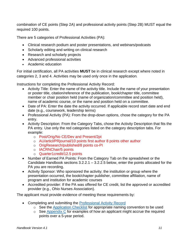combination of CE points (Step 2A) and professional activity points (Step 2B) MUST equal the required 100 points.

There are 5 categories of Professional Activities (PA):

- Clinical research podium and poster presentations, and webinars/podcasts
- Scholarly editing and writing on clinical research
- Research and scholarly projects
- Advanced professional activities
- Academic education

For initial certification, all PA activities **MUST** be in clinical research except where noted in categories 2, 3 and 4. Activities may be used only once in the application*.*

Instructions for completing the Professional Activity Record:

- Activity Title: Enter the name of the activity title. Include the name of your presentation or poster title, citation/reference of the publication, book/chapter title, committee member or chair position held (name of organization/committee and position held), name of academic course, or the name and position held on a committee.
- Date of PA: Enter the date the activity occurred. If applicable record start date and end date (e.g., coursework, leadership terms)
- Professional Activity (PA): From the drop-down options, chose the category for the PA entry.
- Activity Description: From the Category Tabs, chose the Activity Description that fits the PA entry. Use only the red categories listed on the category description tabs. For example:
	- o Post/Orig/No CE/Dev and Present/2pt
	- o AU/articl/PRjournal/10 points first author 8 points other author
	- o OrigResearch/published/8 points co-PI
	- o IACRNChair/5 points
	- o Quarter1credit/12.5 points
- Number of Earned PA Points: From the Category Tab on the spreadsheet or the Candidate Handbook sections 3.2.2.1 – 3.2.2.5 below, enter the points allocated for the PA you are recording.
- Activity Sponsor: Who sponsored the activity; the institution or group where the presentation occurred, the book/chapter publisher, committee affiliation, name of program and institution for academic courses
- Accredited provider: If the PA was offered for CE credit, list the approved or accredited provider (e.g., Ohio Nurses Association).

The applicant must provide evidence of meeting these requirements by:

- Completing and submitting the [Professional Activity](https://960da0ef-eb17-4a12-a84c-8fde372d4cfa.filesusr.com/ugd/e60c5c_74c9b5a7a23a4dd69112d3f8c8945254.xlsx?dn=Professional%20Development%20Record%20(V2)%20(1).xlsx) Record
	- o See the [Application Checklist](https://www.crncc.org/_files/ugd/e60c5c_3ddf1220f2534b0cbee9e6d31a034143.pdf) for appropriate naming convention to be used
	- $\circ$  See [Appendix C](#page-37-0) for examples of how an applicant might accrue the required points over a 5-year period.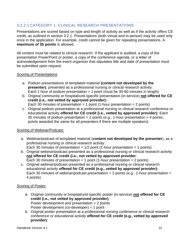## <span id="page-11-0"></span>3.2.2.1 CATEGORY 1: CLINICAL RESEARCH PRESENTATIONS

Presentations are scored based on type and length of activity as well as if the activity offers CE credit, as outlined in section 3.2.1. Presentations (both virtual and in-person) may be used only once in the application. For example, credit cannot be given for repeating presentations. A **maximum of 35 points** is allowed.

All content must be related to clinical research. If the applicant is audited, a copy of the presentation PowerPoint or poster, a copy of the conference agenda, or a letter of acknowledgement from the event organizer that stipulates title and date of presentation must be submitted upon request.

#### Scoring of Presentations

- a. Podium presentations of templated material **(content not developed by the presenter)**, presented as a professional nursing or clinical research activity: Each 1 hour of podium presentation  $= 1$  point (must be 30-60 minutes in length)
- b. Original community or hospital/unit-specific presentation (in-service) **not offered for CE credit (i.e., not vetted by approved provider):** Each 30 minutes of presentation = 1 point (1-hour presentation = 2 points)
- c. Original podium presentation at a professional nursing or clinical research conference or educational activity **offered for CE credit (i.e., vetted by approved provider):** Each 30 minutes of podium presentation = 2 points (e.g., 1-hour presentation = 4 points; points awarded the same for all presenters if there are multiple speakers)

## Scoring of Webinar/Podcast:

- a. Webinar/podcast of templated material (**content not developed by the presenter**), as a professional nursing or clinical research activity: Each 30 minutes of presentation =  $1/2$  point (1-hour presentation = 1 points)
- b. Original webinar/podcast presented as a professional nursing or clinical research activity **not offered for CE credit (i.e., not vetted by approved provider**: Each 30 minutes of presentation = 1 point (1-hour presentation = 2 points)
- c. Original webinar/podcast presented as a professional nursing or clinical research educational activity **offered for CE credit (e.g., vetted by approved provider):** Each 30 minutes of webinar/podcast presentation  $=$  2 points (e.g., 1-hour presentation  $=$ 4 points)

## Scoring of Poster:

- a. Original community or hospital/unit-specific poster (in-service) **not offered for CE credit (i.e., not vetted by approved provider)**: Poster development and presentation  $= 2$  points Poster development (co-developer) = 1 point
- b. Original poster presentation at a professional nursing conference or clinical research conference or educational activity **offered for CE credit (e.g., vetted by approved provider)**: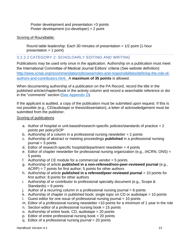Poster development and presentation =3 points Poster development (co-developer) = 2 point

#### Scoring of Roundtable:

Round table leadership: Each 30 minutes of presentation  $= 1/2$  point (1-hour  $presentation = 1 point)$ 

## <span id="page-12-0"></span>3.2.2.2 CATEGORY 2: SCHOLOARLY EDITING AND WRITING

Publications may be used only once in the application. Authorship on a publication must meet the International Committee of Medical Journal Editors' criteria (See website definition): [http://www.icmje.org/recommendations/browse/roles-and-responsibilities/defining-the-role-of](http://www.icmje.org/recommendations/browse/roles-and-responsibilities/defining-the-role-of-authors-and-contributors.html)[authors-and-contributors.html.](http://www.icmje.org/recommendations/browse/roles-and-responsibilities/defining-the-role-of-authors-and-contributors.html) A **maximum of 35 points** is allowed.

When documenting authorship of a publication on the PA Record, record the title in the published article/chapter/book in the activity column and record a searchable reference or doi in the "comments" section [\(See Appendix D\)](#page-39-0).

If the applicant is audited, a copy of the publication must be submitted upon request. If this is not possible (e.g., CD/audiotape or thesis/dissertation), a letter of acknowledgement must be submitted from the publisher.

#### Scoring of publications

- a. Author of hospital or unit-based/research-specific policies/standards of practice = 2 points per policy/SOP
- b. Authorship of a column in a professional nursing newsletter = 2 points
- c. Authorship of abstract or meeting proceedings **published** in a professional nursing  $journal = 3 points$
- d. Editor of research-specific hospital/department newsletter  $=$  4 points
- e. Editor of chapter newsletter for professional nursing organization (e.g., IACRN, ONS) = 5 points
- f. Authorship of  $CE$  module for a commercial vendor  $= 5$  points
- g. Authorship of article **published in a non-refereed/non-peer-reviewed journal** (e.g.,  $ACRP$ ) = 7 points for first author; 5 points for other authors
- h. Authorship of article **published in a refereed/peer-reviewed journal** = 10 points for first author; 8 points for other authors
- i. Authorship of or contributor to professional specialty document (e.g., Scope & Standards) =  $8$  points
- j. Author of a recurring column in a professional nursing journal  $= 8$  points
- k. Authorship of chapter in published book; single topic on CD or audiotape  $= 10$  points
- 1. Guest editor for one issue of professional nursing journal  $= 10$  points
- m. Editor of a professional nursing newsletter =10 points for a minimum of 1 year in the role
- n. Section editor of a professional nursing book  $= 15$  points
- o. Authorship of entire book, CD, audiotape = 20 points
- p. Editor of entire professional nursing book = 20 points
- q. Editor of a professional nursing journal  $= 20$  points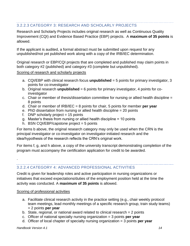## <span id="page-13-0"></span>3.2.2.3 CATEGORY 3: RESEARCH AND SCHOLARLY PROJECTS

Research and Scholarly Projects includes original research as well as Continuous Quality Improvement (CQI) and Evidence Based Practice (EBP) projects. A **maximum of 35 points** is allowed.

If the applicant is audited, a formal abstract must be submitted upon request for any unpublished/not yet published work along with a copy of the IRB/IEC determination.

Original research or EBP/CQI projects that are completed and published may claim points in both category #2 (published) and category #3 (complete but unpublished).

#### Scoring of research and scholarly projects

- a. CQI/EBP with clinical research focus **unpublished** = 5 points for primary investigator, 3 points for co-investigator
- b. Original research **unpublished** = 6 points for primary investigator, 4 points for coinvestigator
- c. Chair or member of thesis/dissertation committee for nursing or allied health discipline = 8 points
- d. Chair or member of IRB/IEC = 8 points for chair, 5 points for member **per year**
- e. PhD dissertation from nursing or allied health discipline = 20 points
- f. DNP scholarly project  $= 15$  points
- g. Master's thesis from nursing or allied health discipline = 10 points
- h. BSN CQI/EBP/capstone project  $= 5$  points

For items b above, the original research category may only be used when the CRN is the principal investigator or co-investigator on investigator-initiated research and the idea/hypothesis of the research reflects the CRN's original work.

For items f, g, and h above, a copy of the university transcript demonstrating completion of the program must accompany the certification application for credit to be awarded.

## <span id="page-13-1"></span>3.2.2.4 CATEGORY 4: ADVANCED PROFESSIONAL ACTIVITIES

Credit is given for leadership roles and active participation in nursing organizations or initiatives that exceed expectations/duties of the employment position held at the time the activity was conducted. A **maximum of 35 points** is allowed.

## Scoring of professional activities

- a. Facilitate clinical research activity in the practice setting (e.g., chair weekly protocol team meetings, lead monthly meetings of a specific research group, train study teams) = 2 points **per year**
- b. State, regional, or national award related to clinical research  $= 2$  points
- c. Officer of national specialty nursing organization = 3 points **per year**
- d. Officer of local chapter of specialty nursing organization = 3 points **per year**

.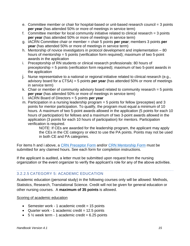- e. Committee member or chair for hospital-based or unit-based research council = 3 points **per year** (has attended 50% or more of meetings in service term)
- f. Committee member for local community initiative related to clinical research = 3 points **per year** (has attended 50% or more of meetings in service term)
- g. IACRN Committee chair or member = chair 5 points **per year**; members 3 points **per year** (has attended 50% or more of meetings in service term)
- h. Mentorship of novice investigators in protocol development and implementation 80 hours of mentorship = 5 points (verification form required); maximum of two 5-point awards in the application
- i. Preceptorship of RN students or clinical research professionals: 80 hours of preceptorship = 5 points (verification form required); maximum of two 5-point awards in the application
- j. Nurse representative to a national or regional initiative related to clinical research (e.g., advisory board for a CTSA) = 5 points **per year** (has attended 50% or more of meetings in service term)
- k. Chair or member of community advisory board related to community research = 5 points **per year** (has attended 50% or more of meetings in service term)
- l. IACRN Board of Directors = 5 points **per year**
- m. Participation in a nursing leadership program = 5 points for fellow (preceptee) and 3 points for mentor participation. To qualify, the program must equal a minimum of 10 hours. A maximum of two 5-point awards allowed in the application (5 points for each 10 hours of participation) for fellows and a maximum of two 3-point awards allowed in the application (3 points for each 10 hours of participation) for mentors. Participation verification is required.

NOTE: If CEs are awarded for the leadership program, the applicant may apply the CEs in the CE category or elect to use the PA points. Points may not be used in both CE and PA categories.

For items h and i above, a [CRN Preceptor Form](https://www.crncc.org/_files/ugd/e60c5c_c962cc859f314774b656e0dbae5bd62e.pdf) and/or [CRN Mentorship Form](https://www.crncc.org/_files/ugd/e60c5c_06b6282738a8440e9f078f3100f96a79.pdf) must be submitted for any claimed hours. See each form for completion instructions.

If the applicant is audited, a letter must be submitted upon request from the nursing organization or the event organizer to verify the applicant's role for any of the above activities.

## <span id="page-14-0"></span>3.2.2.5 CATEGORY 5: ACADEMIC EDUCATION

Academic education (personal study) in the following courses only will be allowed: Methods, Statistics, Research, Translational Science. Credit will not be given for general education or other nursing courses. A **maximum of 35 points** is allowed.

#### Scoring of academic education

- Semester work 1 academic credit  $= 15$  points
- Quarter work 1 academic credit  $= 12.5$  points
- $5\frac{1}{2}$  week term 1 academic credit = 6.25 points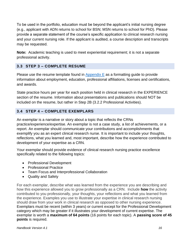To be used in the portfolio, education must be beyond the applicant's initial nursing degree (e.g., applicant with ADN returns to school for BSN; MSN returns to school for PhD). Please provide a separate statement of the course's specific application to clinical research nursing and your current nursing role. If the applicant is audited, a course description and transcripts may be requested.

**Note:** Academic teaching is used to meet experiential requirement; it is not a separate professional activity.

## <span id="page-15-0"></span>**3.3 STEP 3 – COMPLETE RESUME**

Please use the resume template found in  $\Delta p$  and  $\Delta E$  as a formatting guide to provide information about employment, education, professional affiliations, licenses and certifications, and awards.

State practice hours per year for each position held in clinical research in the EXPERIENCE section of the resume. Information about presentations and publications should NOT be included on the resume, but rather in Step 2B (3.2.2 Professional Activities).

## <span id="page-15-1"></span>**3.4 STEP 4 – COMPLETE EXEMPLARS**

An exemplar is a narrative or story about a topic that reflects the CRNs practice/experience/expertise. An exemplar is not a case study, a list of achievements, or a report. An exemplar should communicate your contributions and accomplishments that exemplify you as an expert clinical research nurse. It is important to include your thoughts, reflections, what you learned and, most important, describe how the experience contributed to development of your expertise as a CRN.

Your exemplar should provide evidence of clinical research nursing practice excellence specifically related to the following topics:

- Professional Development
- Professional Practice
- Team Focus and Interprofessional Collaboration
- Quality and Safety

For each exemplar, describe what was learned from the experience you are describing and how this experience allowed you to grow professionally as a CRN. Include **how** the activity contributed to you professionally, your thoughts, your reflections and what you learned from the experience. Examples you use to illustrate your expertise in clinical research nursing should draw from your work in clinical research as opposed to other nursing experience. Exemplars must be recent (within 3 years) or current except for the Professional Development category which may be greater if it illustrates your development of current expertise. The exemplar is worth a **maximum of 64 points** (16 points for each topic). A **passing score of 45 points** is required.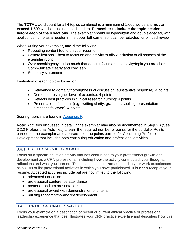The **TOTAL** word count for all 4 topics combined is a minimum of 1,000 words and **not to exceed** 1,500 words including topic headers. **Remember to include the topic headers before each of the 4 sections.** The exemplar should be typewritten and double-spaced, with applicant's name as a header in the upper left corner so it can be redacted for blinded review.

When writing your exemplar, **avoid** the following:

- Repeating content found on your resume
- Generalizations best to focus on one activity to allow inclusion of all aspects of the exemplar rubric
- Over speaking/saying too much that doesn't focus on the activity/topic you are sharing. Communicate clearly and concisely
- Summary statements

Evaluation of each topic is based on:

- Relevance to domain/thoroughness of discussion (substantive response): 4 points
- Demonstrates higher level of expertise: 4 points
- Reflects best practices in clinical research nursing: 4 points
- Presentation of content (e.g., writing clarity, grammar; spelling, presentation directions followed): 4 points

Scoring rubrics are found in [Appendix F.](#page-41-0)

**Note:** Activities discussed in detail in the exemplar may also be documented in Step 2B (See 3.2.2 Professional Activities) to earn the required number of points for the portfolio. Points earned for the exemplar are separate from the points earned for Continuing Professional Development that includes both continuing education and professional activities.

## **PROFESSIONAL GROWTH**

Focus on a specific situation/activity that has contributed to your professional growth and development as a CRN professional, including **how** the activity contributed, your thoughts, reflections and what you learned. This example should **not** summarize your work experiences as a CRN or list professional activities in which you have participated. It is **not** a recap of your resume. Accepted activities include but are not limited to the following:

- advanced education
- professional conference attendance
- poster or podium presentations
- professional award with demonstration of criteria
- nursing research/manuscript development

## **PROFESSIONAL PRACTICE**

Focus your example on a description of recent or current ethical practice or professional leadership experience that best illustrates your CRN practice expertise and describes **how** this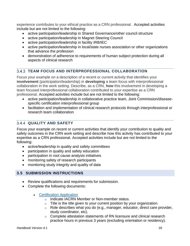experience contributes to your ethical practice as a CRN professional. Accepted activities include but are not limited to the following:

- active participation/leadership in Shared Governance/other council structure
- active participation/leadership in Magnet Steering Council
- active participation/leadership in facility IRB/IEC
- active participation/leadership in local/state nurses association or other organizations that advance the profession
- demonstration of adherence to requirements of human subject protection during all aspects of clinical research

## **TEAM FOCUS AND INTERPROFESSIONAL COLLABORATION**

Focus your example on a description of a recent or current activity that identifies your **involvement** (participation/leadership) in **developing** a team focus with interprofessional collaboration in the work setting. Describe, as a CRN, **how** this involvement in developing a team focused interprofessional collaboration contributed to your expertise as a CRN professional. Accepted activities include but are not limited to the following:

- active participation/leadership in collaborative practice team, Joint Commission/diseasespecific certification interprofessional group
- facilitation and implementation of clinical research protocols through interprofessional or research team collaboration

## **QUALITY AND SAFETY**

Focus your example on recent or current activities that identify your contribution to quality and safety outcomes in the CRN work setting and describe how this activity has contributed to your expertise as a CRN professional. Accepted activities include but are not limited to the following:

- active/leadership in quality and safety committees
- participation in quality and safety education
- participation in root cause analysis initiatives
- monitoring safety of research participants
- monitoring study integrity and quality of data

## <span id="page-17-0"></span>**3.5 SUBMISSION INSTRUCTIONS**

- Review qualifications and requirements for submission.
- Complete the following documents:
	- [Certification Application](https://www.crncc.org/apply-renew)
		- o Indicate IACRN Member or Non-member status.
		- $\circ$  Title is the title given to your current position by your organization.
		- o Role describes what you do (e.g., manager, educator, direct care provider, study coordinator, etc).
		- o Complete attestation statements of RN licensure and clinical research practice hours in previous 3 years (excluding orientation or residency).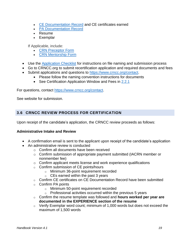- [CE Documentation Record](https://960da0ef-eb17-4a12-a84c-8fde372d4cfa.filesusr.com/ugd/e60c5c_c527cdd7ffca41ae96c6495a0af7aaf5.xlsx?dn=Continuing%20Education%20Record%20(1).xlsx) and CE certificates earned
- [PA Documentation Record](https://960da0ef-eb17-4a12-a84c-8fde372d4cfa.filesusr.com/ugd/e60c5c_74c9b5a7a23a4dd69112d3f8c8945254.xlsx?dn=Professional%20Development%20Record%20(V2)%20(1).xlsx)
- Resume
- Exemplar

If Applicable, include:

- [CRN Preceptor Form](https://www.crncc.org/_files/ugd/e60c5c_c962cc859f314774b656e0dbae5bd62e.pdf)
- [CRN Mentorship Form](https://www.crncc.org/_files/ugd/e60c5c_06b6282738a8440e9f078f3100f96a79.pdf)
- Use the [Application Checklist](https://www.crncc.org/_files/ugd/e60c5c_3ddf1220f2534b0cbee9e6d31a034143.pdf) for instructions on file naming and submission process
- Go to CRNCC.org to submit recertification application and required documents and fees
- Submit applications and questions to [https://www.crncc.org/contact.](https://www.crncc.org/contact)
	- Please follow the naming convention instructions for documents
	- See Certification Application Window and Fees in [2.2.1](#page-5-3)

For questions, contact [https://www.crncc.org/contact.](https://www.crncc.org/contact)

See website for submission.

## <span id="page-18-0"></span>**3.6 CRNCC REVIEW PROCESS FOR CERTIFICATION**

Upon receipt of the candidate's application, the CRNCC review proceeds as follows:

#### **Administrative Intake and Review**

- A confirmation email is sent to the applicant upon receipt of the candidate's application
- An administrative review is conducted
	- o Confirm all documents have been received
	- $\circ$  Confirm submission of appropriate payment submitted (IACRN member or nonmember fee)
	- o Confirm applicant meets license and work experience qualifications
	- o Confirm submission of CE points/hours
		- o Minimum 36-point requirement recorded
		- $\circ$  CEs earned within the past 3 years
	- o Confirm CE certificates on CE Documentation Record have been submitted
	- $\circ$  Confirm PA points
		- o Minimum 50-point requirement recorded
		- $\circ$  Professional activities occurred within the previous 5 years
	- o Confirm the resume template was followed and **hours worked per year are documented in the EXPERIENCE section of the resume**
	- $\circ$  Verify Exemplar word count; minimum of 1,000 words but does not exceed the maximum of 1,500 words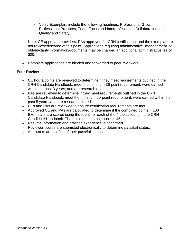$\circ$  Verify Exemplars include the following headings: Professional Growth, Professional Practices, Team Focus and Interprofessional Collaboration, and Quality and Safety

Note: CE approved providers, PAs approved for CRN certification, and the exemplar are not reviewed/scored at this point. Applications requiring administrative "management" to obtain/clarify information/documents may be charged an additional administrative fee of \$20.

• Complete applications are blinded and forwarded to peer reviewers

#### **Peer-Review**

- CE hours/points are reviewed to determine if they meet requirements outlined in the CRN Candidate Handbook; meet the minimum 36-point requirement; were earned within the past 3 years; and are research related.
- PAs are reviewed to determine if they meet requirements outlined in the CRN Candidate Handbook; meet the minimum 50-point requirement; were earned within the past 5 years; and are research related.
- CEs and PAs are reviewed to ensure certification requirements are met.
- Approved CE and PAs are calculated to determine if the combined points  $= 100$
- Exemplars are scored using the rubric for each of the 4 topics found in the CRN Candidate Handbook. The minimum passing score is 45 points
- Resume information and practice experience is confirmed
- Reviewer scores are submitted electronically to determine pass/fail status.
- Applicants are notified of their pass/fail status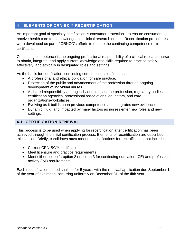## <span id="page-20-0"></span>**4 ELEMENTS OF CRN-BC™ RECERTIFICATION**

An important goal of specialty certification is consumer protection—to ensure consumers receive health care from knowledgeable clinical research nurses. Recertification procedures were developed as part of CRNCC's efforts to ensure the continuing competence of its certificants.

Continuing competence is the ongoing professional responsibility of a clinical research nurse to obtain, integrate, and apply current knowledge and skills required to practice safely, effectively, and ethically in designated roles and settings.

As the basis for certification, continuing competence is defined as:

- A professional and ethical obligation for safe practice.
- Protection of the public and advancement of the profession through ongoing development of individual nurses.
- A shared responsibility among individual nurses, the profession, regulatory bodies, certification agencies, professional associations, educators, and care organizations/workplaces.
- Evolving as it builds upon previous competence and integrates new evidence.
- Dynamic, fluid, and impacted by many factors as nurses enter new roles and new settings.

## <span id="page-20-1"></span>**4.1 CERTIFICATION RENEWAL**

This process is to be used when applying for recertification after certification has been achieved through the initial certification process. Elements of recertification are described in this section. Briefly, candidates must meet the qualifications for recertification that includes:

- Current CRN-BC™ certification
- Meet licensure and practice requirements
- Meet either option 1, option 2 or option 3 for continuing education (CE) and professional activity (PA) requirements.

Each recertification period shall be for 5 years, with the renewal application due September 1 of the year of expiration, occurring uniformly on December 31, of the fifth year.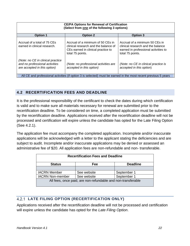| <b>CE/PA Options for Renewal of Certification</b><br>(Select from one of the following 3 options)   |                                                                                                                                     |                                                                                                                                 |  |  |  |  |  |
|-----------------------------------------------------------------------------------------------------|-------------------------------------------------------------------------------------------------------------------------------------|---------------------------------------------------------------------------------------------------------------------------------|--|--|--|--|--|
| <b>Option 1</b>                                                                                     | <b>Option 2</b>                                                                                                                     | Option 3                                                                                                                        |  |  |  |  |  |
| Accrual of a total of 75 CEs<br>earned in clinical research.                                        | Accrual of a minimum of 50 CEs in<br>clinical research and the balance of<br>CEs earned in clinical practice to<br>total 75 points. | Accrual of a minimum 50 CEs in<br>clinical research and the balance<br>earned in professional activities to<br>total 75 points. |  |  |  |  |  |
| (Note: no CE in clinical practice<br>and no professional activities<br>are accepted in this option) | (Note: no professional activities are<br>accepted in this option)                                                                   | (Note: no CE in clinical practice is<br>accepted in this option)                                                                |  |  |  |  |  |
|                                                                                                     | All CE and professional activities (if option 3 is selected) must be earned in the most recent previous 5 years                     |                                                                                                                                 |  |  |  |  |  |

## <span id="page-21-0"></span>**4.2 RECERTIFICATION FEES AND DEADLINE**

It is the professional responsibility of the certificant to check the dates during which certification is valid and to make sure all materials necessary for renewal are submitted prior to the recertification deadline. To be considered on time, a completed application must be submitted by the recertification deadline. Applications received after the recertification deadline will not be processed and certification will expire unless the candidate has opted for the Late Filing Option (See 4.2.1).

The application fee must accompany the completed application. Incomplete and/or inaccurate applications will be acknowledged with a letter to the applicant stating the deficiencies and are subject to audit. Incomplete and/or inaccurate applications may be denied or assessed an administrative fee of \$20. All application fees are non-refundable and non- transferable.

| <b>Recertification Fees and Deadline</b>                     |             |             |  |  |  |  |
|--------------------------------------------------------------|-------------|-------------|--|--|--|--|
| <b>Deadline</b><br><b>Status</b><br>Fee                      |             |             |  |  |  |  |
|                                                              |             |             |  |  |  |  |
| <b>IACRN Member</b>                                          | See website | September 1 |  |  |  |  |
| September 1<br><b>IACRN Non-member</b><br>See website        |             |             |  |  |  |  |
| All fees, once paid, are non-refundable and non-transferable |             |             |  |  |  |  |

## <span id="page-21-1"></span>**LATE FILING OPTION (RECERTIFICATION ONLY)**

Applications received after the recertification deadline will not be processed and certification will expire unless the candidate has opted for the *Late Filing Option*.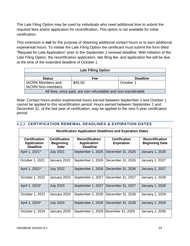The Late Filing Option may be used by individuals who need additional time to submit the required fees and/or application for recertification. This option is not available for initial certification.

This extension is **not** for the purpose of obtaining additional contact hours or to earn additional experiential hours. To initiate the Late Filing Option the certificant must submit the form titled "Request for Late Application" prior to the *September 1 renewal deadline.* With initiation of the Late Filing Option, the recertification application, late filing fee, and application fee will be due at the time of the extended deadline of October 1.

| <b>Late Filling Option</b>                                   |         |           |  |  |  |  |
|--------------------------------------------------------------|---------|-----------|--|--|--|--|
|                                                              |         |           |  |  |  |  |
| <b>Deadline</b><br>Fee<br><b>Status</b>                      |         |           |  |  |  |  |
| <b>IACRN Members and</b>                                     | \$45.00 | October 1 |  |  |  |  |
| <b>IACRN Non-members</b>                                     |         |           |  |  |  |  |
| All fees, once paid, are non-refundable and non-transferable |         |           |  |  |  |  |

Note: Contact hours and/or experiential hours earned between September 1 and October 1 cannot be applied to this recertification period. Hours earned between September 1 and December 31, of the last year of certification, may be applied to the next 5-year certification period.

| 4.2.2 CERTIFICATION RENEWAL DEADLINES & EXPIRATION DATES        |                                                         |                                                                 |                                           |                                                 |  |  |  |  |
|-----------------------------------------------------------------|---------------------------------------------------------|-----------------------------------------------------------------|-------------------------------------------|-------------------------------------------------|--|--|--|--|
| <b>Rectification Application Deadlines and Expiration Dates</b> |                                                         |                                                                 |                                           |                                                 |  |  |  |  |
| <b>Certification</b><br><b>Application</b><br><b>Deadline</b>   | <b>Certification</b><br><b>Beginning</b><br><b>Date</b> | <b>Recertification</b><br><b>Application</b><br><b>Deadline</b> | <b>Certification</b><br><b>Expiration</b> | <b>Recertification</b><br><b>Beginning Date</b> |  |  |  |  |
| April 1, 2021*                                                  | <b>July 2021</b>                                        | September 1, 2025                                               | December 31, 2025                         | January 1, 2026                                 |  |  |  |  |
| October 1, 2021                                                 | January 2022                                            | September 1, 2026                                               | December 31, 2026                         | January 1, 2027                                 |  |  |  |  |
| April 1, 2022*                                                  | <b>July 2022</b>                                        | September 1, 2026                                               | December 31, 2026                         | <b>January 1, 2027</b>                          |  |  |  |  |
| October 1, 2022                                                 | January 2023                                            | September 1, 2027                                               | December 31, 2027                         | January 1, 2028                                 |  |  |  |  |
| April 1, 2023*                                                  | <b>July 2023</b>                                        | September 1, 2027                                               | December 31, 2027                         | <b>January 1, 2028</b>                          |  |  |  |  |
| October 1, 2023                                                 | January 2024                                            | September 1, 2028                                               | December 31, 2028                         | January 1, 2029                                 |  |  |  |  |
| April 1, 2024*                                                  | <b>July 2024</b>                                        | September 1, 2028                                               | December 31, 2028                         | <b>January 1, 2029</b>                          |  |  |  |  |
| October 1, 2024                                                 | January 2025                                            |                                                                 | September 1, 2029 December 31, 2029       | January 1, 2030                                 |  |  |  |  |

## **CERTIFICATION RENEWAL DEADLINES & EXPIRATION DATES**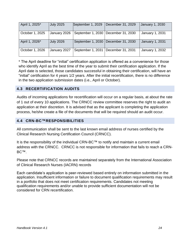| April 1, 2025*  | <b>July 2025</b> | September 1, 2029 | December 31, 2029                     | January 1, 2030        |
|-----------------|------------------|-------------------|---------------------------------------|------------------------|
| October 1, 2025 | January 2026     |                   | September 1, 2030   December 31, 2030 | <b>January 1, 2031</b> |
| April 1, 2026*  | <b>July 2026</b> |                   | September 1, 2030   December 31, 2030 | <b>January 1, 2031</b> |
| October 1, 2026 | January 2027     | September 1, 2031 | December 31, 2031                     | January 1, 2032        |

\* The April deadline for "initial" certification application is offered as a convenience for those who identify April as the best time of the year to submit their certification application. If the April date is selected, those candidates successful in obtaining their certification, will have an "initial" certification for 4 years 1/2 years. After the initial recertification, there is no difference in the two application submission dates (i.e., April or October).

#### <span id="page-23-0"></span>**4.3 RECERTIFICATION AUDITS**

Audits of incoming applications for recertification will occur on a regular basis, at about the rate of 1 out of every 10 applications. The CRNCC review committee reserves the right to audit an application at their discretion. It is advised that as the applicant is completing the application process, he/she create a file of the documents that will be required should an audit occur.

#### <span id="page-23-1"></span>**4.4 CRN-BC™RESPONSIBILITIES**

All communication shall be sent to the last known email address of nurses certified by the Clinical Research Nursing Certification Council (CRNCC).

It is the responsibility of the individual CRN-BC™ to notify and maintain a current email address with the CRNCC. CRNCC is not responsible for information that fails to reach a CRN-BC™.

Please note that CRNCC records are maintained separately from the International Association of Clinical Research Nurses (IACRN) records

Each candidate's application is peer-reviewed based entirely on information submitted in the application. Insufficient information or failure to document qualification requirements may result in a portfolio that does not meet certification requirements. Candidates not meeting qualification requirements and/or unable to provide sufficient documentation will not be considered for CRN recertification.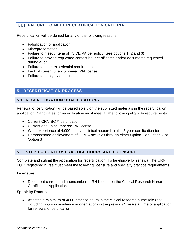## **FAILURE TO MEET RECERTIFICATION CRITERIA**

Recertification will be denied for any of the following reasons:

- Falsification of application
- Misrepresentation
- Failure to meet criteria of 75 CE/PA per policy (See options 1, 2 and 3)
- Failure to provide requested contact hour certificates and/or documents requested during audit
- Failure to meet experiential requirement
- Lack of current unencumbered RN license
- Failure to apply by deadline

## <span id="page-24-0"></span>**5 RECERTIFICATION PROCESS**

## <span id="page-24-1"></span>**5.1 RECERTIFICATION QUALIFICATIONS**

Renewal of certification will be based solely on the submitted materials in the recertification application. Candidates for recertification must meet all the following eligibility requirements:

- Current CRN-BC™ certification
- Current and unincumbered RN license
- Work experience of 4,000 hours in clinical research in the 5-year certification term
- Demonstrated achievement of CE/PA activities through either Option 1 or Option 2 or Option 3

## <span id="page-24-2"></span>**5.2 STEP 1 – CONFIRM PRACTICE HOURS AND LICENSURE**

Complete and submit the application for recertification. To be eligible for renewal, the CRN BC™ registered nurse must meet the following licensure and specialty practice requirements:

#### **Licensure**

• Document current and unencumbered RN license on the Clinical Research Nurse Certification Application

#### **Specialty Practice**

• Attest to a minimum of 4000 practice hours in the clinical research nurse role (not including hours in residency or orientation) in the previous 5 years at time of application for renewal of certification.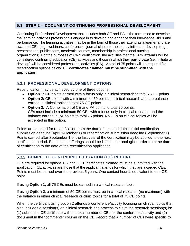## <span id="page-25-0"></span>**5.3 STEP 2 – DOCUMENT CONTINUING PROFESSIONAL DEVELOPMENT**

Continuing Professional Development that includes both CE and PA is the term used to describe the learning activities professionals engage in to develop and enhance their knowledge, skills and performance. The learning activities may be in the form of those they attend as a learner and are awarded CEs (e.g., webinars, conferences, journal clubs) or those they initiate or develop (e.g., presentations, publications, academic courses, membership in professional nursing organizations). For the purposes of CRN certification, the activities that the CRN **attends** will be considered continuing education (CE) activities and those in which they **participate** (i.e., initiate or develop) will be considered professional activities (PA). A total of 75 points will be required for recertification options below. **CE certificates claimed must be submitted with the application.**

## **PROFESSIONAL DEVELOPMENT OPTIONS**

Recertification may be achieved by one of three options:

- **Option 1:** CE points earned with a focus only in clinical research to total 75 CE points
- **Option 2:** CE points with a minimum of 50 points in clinical research and the balance earned in clinical topics to total 75 CE points
- **Option 3:** A Combination of CE and PA points to total 75 points. CEs must include a minimum 50 CEs with a focus only in clinical research and the balance earned in PA points to total 75 points. No CEs on clinical topics will be accepted in this option.

Points are accrued for recertification from the date of the candidate's initial certification submission deadline (April 1/October 1) or recertification submission deadline (September 1). Points earned after September 1 of the last year of the certification may be applied to the next certification period. Educational offerings should be listed in chronological order from the date of certification to the date of the recertification application.

## **COMPLETE CONTINUING EDUCATION (CE) RECORD**

CEs are required for options 1, 2 and 3. CE certificates claimed must be submitted with the application. CE activities are those that the applicant attends for which they are awarded CEs. Points must be earned over the previous 5 years. One contact hour is equivalent to one CE point.

If using **Option 1,** all 75 CEs must be earned in a clinical research topic.

If using **Option 2**, a minimum of 50 CE points must be in clinical research (no maximum) with the balance in either clinical research or clinic topics for a total of 75 CE points.

When the certificant using option 2 attends a conference/activity focusing on clinical topics that also includes a session(s) on clinical research, the process to claim the research session(s) is: (1) submit the CE certificate with the total number of CEs for the conference/activity and (2) document in the "comments" column on the CE Record that *X* number of CEs were specific to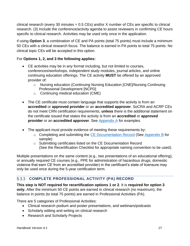clinical research (every 30 minutes  $= 0.5$  CEs) and/or X number of CEs are specific to clinical research. (3) Include the conference/activity agenda to assist reviewers in confirming CE hours specific to clinical research. Activities may be used only once in the application.

If using **Option 3**, a combination of CE and PA points (total 75 points) must include a minimum 50 CEs with a clinical research focus. The balance is earned in PA points to total 75 points. No clinical topic CEs will be accepted in this option.

## For **Options 1, 2, and 3 the following applies:**

- CE activities may be in any format including, but not limited to courses, conferences/workshops, independent study modules, journal articles, and online continuing education offerings. The CE activity **MUST** be offered by an approved provider of:
	- o Nursing education (Continuing Nursing Education [CNE]/Nursing Continuing Professional Development [NCPD]
	- o Continuing medical education (CME)
- The CE certificate must contain language that supports the activity is from an **accredited** or **approved provider** or an **accredited approver**. SoCRA and ACRP CEs do not meet CRN certification requirements, **unless** there is the additional statement on the certificate issued that states the activity is from an **accredited** or **approved provider** or an **accredited approver**. See [Appendix A](#page-35-1) for examples.
- The applicant must provide evidence of meeting these requirements by:
	- o Completing and submitting the [CE Documentation Record](https://960da0ef-eb17-4a12-a84c-8fde372d4cfa.filesusr.com/ugd/e60c5c_c527cdd7ffca41ae96c6495a0af7aaf5.xlsx?dn=Continuing%20Education%20Record%20(1).xlsx) (See [Appendix](#page-36-1) B for sample)
	- o Submitting certificates listed on the CE Documentation Record (See the Recertification Checklist for appropriate naming convention to be used).

Multiple presentations on the same content (e.g., two presentations of an educational offering), or annually required CE courses (e.g., PPE for administration of hazardous drugs, domestic violence that earn CE from an accredited provider) in the certificant's state of licensure may only be used once during the 5-year certification term.

## **COMPLETE PROFESSIONAL ACTIVITY (PA) RECORD**

**This step is NOT required for recertification options 1 or 2**. It is **required for option 3 only.** After the minimum 50 CE points are earned in clinical research (no maximum), the balance in points (to total 75 points) are earned in Professional Activities (PA).

There are 5 categories of Professional Activities:

- Clinical research podium and poster presentations, and webinars/podcasts
- Scholarly editing and writing on clinical research
- Research and Scholarly Projects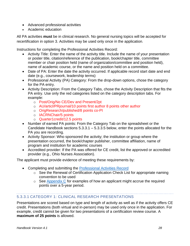- Advanced professional activities
- Academic education

All PA activities **must** be in clinical research. No general nursing topics will be accepted for recertification in option 3. Activities may be used only once in the application*.*

Instructions for completing the Professional Activities Record:

- Activity Title: Enter the name of the activity title. Include the name of your presentation or poster title, citation/reference of the publication, book/chapter title, committee member or chair position held (name of organization/committee and position held), name of academic course, or the name and position held on a committee.
- Date of PA: Enter the date the activity occurred. If applicable record start date and end date (e.g., coursework, leadership terms)
- Professional Activity (PA) Category: From the drop-down options, chose the category for the PA entry.
- Activity Description: From the Category Tabs, chose the Activity Description that fits the PA entry. Use only the red categories listed on the category description tabs. For example:
	- o Post/Orig/No CE/Dev and Present/2pt
	- o AU/articl/PRjournal/10 points first author 8 points other author
	- o OrigResearch/published/8 points co-PI
	- o IACRNChair/5 points
	- o Quarter1credit/12.5 points
- Number of earned PA points: From the Category Tab on the spreadsheet or the Candidate Handbook sections 5.3.3.1 – 5.3.3.5 below, enter the points allocated for the PA you are recording.
- Activity Sponsor: Who sponsored the activity; the institution or group where the presentation occurred, the book/chapter publisher, committee affiliation, name of program and institution for academic courses
- Accredited provider: If the PA was offered for CE credit, list the approved or accredited provider (e.g., Ohio Nurses Association).

The applicant must provide evidence of meeting these requirements by:

- Completing and submitting the [Professional Activities](https://960da0ef-eb17-4a12-a84c-8fde372d4cfa.filesusr.com/ugd/e60c5c_74c9b5a7a23a4dd69112d3f8c8945254.xlsx?dn=Professional%20Development%20Record%20(V2)%20(1).xlsx) Record
	- o See the Renewal of Certification Application Check List for appropriate naming convention to be used
	- $\circ$  See [Appendix C](#page-37-0) for examples of how an applicant might accrue the required points over a 5-year period.

## <span id="page-27-0"></span>5.3.3.1 CATEGORY 1: CLINICAL RESEARCH PRESENTATIONS

Presentations are scored based on type and length of activity as well as if the activity offers CE credit. Presentations (both virtual and in-person) may be used only once in the application. For example, credit cannot be given for two presentations of a certification review course. A **maximum of 25 points** is allowed.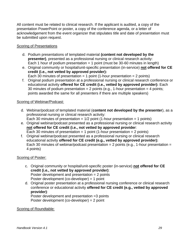All content must be related to clinical research. If the applicant is audited, a copy of the presentation PowerPoint or poster, a copy of the conference agenda, or a letter of acknowledgement from the event organizer that stipulates title and date of presentation must be submitted upon request.

#### **Scoring of Presentations**

- d. Podium presentations of templated material **(content not developed by the presenter)**, presented as a professional nursing or clinical research activity: Each 1 hour of podium presentation  $= 1$  point (must be 30-60 minutes in length)
- e. Original community or hospital/unit-specific presentation (in-service) **not offered for CE credit (i.e., not vetted by approved provider):** Each 30 minutes of presentation = 1 point (1-hour presentation = 2 points)
- f. Original podium presentation at a professional nursing or clinical research conference or educational activity **offered for CE credit (i.e., vetted by approved provider):** Each 30 minutes of podium presentation = 2 points (e.g., 1-hour presentation = 4 points; points awarded the same for all presenters if there are multiple speakers)

#### Scoring of Webinar/Podcast:

- d. Webinar/podcast of templated material (**content not developed by the presenter**), as a professional nursing or clinical research activity: Each 30 minutes of presentation =  $1/2$  point (1-hour presentation = 1 points)
- e. Original webinar/podcast presented as a professional nursing or clinical research activity **not offered for CE credit (i.e., not vetted by approved provider**: Each 30 minutes of presentation = 1 point (1-hour presentation = 2 points)
- f. Original webinar/podcast presented as a professional nursing or clinical research educational activity **offered for CE credit (e.g., vetted by approved provider):** Each 30 minutes of webinar/podcast presentation =  $2$  points (e.g., 1-hour presentation = 4 points)

#### Scoring of Poster:

- c. Original community or hospital/unit-specific poster (in-service) **not offered for CE credit (i.e., not vetted by approved provider)**: Poster development and presentation = 2 points Poster development (co-developer) = 1 point
- d. Original poster presentation at a professional nursing conference or clinical research conference or educational activity **offered for CE credit (e.g., vetted by approved provider)**:

Poster development and presentation =3 points Poster development (co-developer) = 2 point

#### **Scoring of Roundtable:**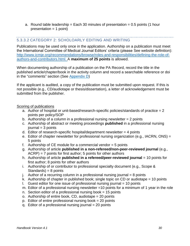a. Round table leadership  $=$  Each 30 minutes of presentation  $= 0.5$  points (1 hour  $presentation = 1 point)$ 

#### <span id="page-29-0"></span>5.3.3.2 CATEGORY 2: SCHOLOARLY EDITING AND WRITING

Publications may be used only once in the application. Authorship on a publication must meet the International Committee of Medical Journal Editors' criteria (please See website definition): [http://www.icmje.org/recommendations/browse/roles-and-responsibilities/defining-the-role-of](http://www.icmje.org/recommendations/browse/roles-and-responsibilities/defining-the-role-of-authors-and-contributors.html)[authors-and-contributors.html.](http://www.icmje.org/recommendations/browse/roles-and-responsibilities/defining-the-role-of-authors-and-contributors.html) A **maximum of 25 points** is allowed.

When documenting authorship of a publication on the PA Record, record the title in the published article/chapter/book in the activity column and record a searchable reference or doi in the "comments" section (See [Appendix D\)](#page-39-0)

If the applicant is audited, a copy of the publication must be submitted upon request. If this is not possible (e.g., CD/audiotape or thesis/dissertation), a letter of acknowledgement must be submitted from the publisher.

#### Scoring of publications

- a. Author of hospital or unit-based/research-specific policies/standards of practice = 2 points per policy/SOP
- b. Authorship of a column in a professional nursing newsletter  $= 2$  points
- c. Authorship of abstract or meeting proceedings **published** in a professional nursing  $journal = 3 points$
- d. Editor of research-specific hospital/department newsletter  $=$  4 points
- e. Editor of chapter newsletter for professional nursing organization (e.g., IACRN, ONS) = 5 points
- f. Authorship of  $CE$  module for a commercial vendor  $= 5$  points
- g. Authorship of article **published in a non-refereed/non-peer-reviewed journal** (e.g.,  $ACRP$ ) = 7 points for first author; 5 points for other authors
- h. Authorship of article **published in a refereed/peer-reviewed journal** = 10 points for first author; 8 points for other authors
- i. Authorship of or contributor to professional specialty document (e.g., Scope & Standards) =  $8$  points
- $i.$  Author of a recurring column in a professional nursing journal  $= 8$  points
- k. Authorship of chapter in published book; single topic on CD or audiotape = 10 points
- 1. Guest editor for one issue of professional nursing journal  $= 10$  points
- m. Editor of a professional nursing newsletter =10 points for a minimum of 1 year in the role
- n. Section editor of a professional nursing book  $= 15$  points
- o. Authorship of entire book,  $CD$ , audiotape = 20 points
- p. Editor of entire professional nursing book = 20 points
- q. Editor of a professional nursing journal = 20 points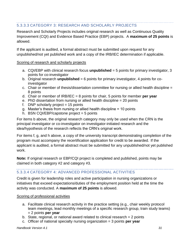## <span id="page-30-0"></span>5.3.3.3 CATEGORY 3: RESEARCH AND SCHOLARLY PROJECTS

Research and Scholarly Projects includes original research as well as Continuous Quality Improvement (CQI) and Evidence Based Practice (EBP) projects. A **maximum of 25 points** is allowed.

If the applicant is audited, a formal abstract must be submitted upon request for any unpublished/not yet published work and a copy of the IRB/IEC determination if applicable.

#### Scoring of research and scholarly projects

- a. CQI/EBP with clinical research focus **unpublished** = 5 points for primary investigator, 3 points for co-investigator
- b. Original research **unpublished** = 6 points for primary investigator, 4 points for coinvestigator
- c. Chair or member of thesis/dissertation committee for nursing or allied health discipline = 8 points
- d. Chair or member of IRB/IEC = 8 points for chair, 5 points for member **per year**
- e. PhD dissertation from nursing or allied health discipline = 20 points
- f. DNP scholarly project  $= 15$  points
- g. Master's thesis from nursing or allied health discipline = 10 points
- h. BSN CQI/EBP/capstone project  $= 5$  points

For items b above, the original research category may only be used when the CRN is the principal investigator or co-investigator on investigator-initiated research and the idea/hypothesis of the research reflects the CRN's original work.

For items f, g, and h above, a copy of the university transcript demonstrating completion of the program must accompany the recertification application for credit to be awarded. If the applicant is audited, a formal abstract must be submitted for any unpublished/not yet published work.

**Note:** If original research or EBP/CQI project is completed and published, points may be claimed in both category #2 and category #3.

## <span id="page-30-1"></span>5.3.3.4 CATEGORY 4: ADVANCED PROFESSIONAL ACTIVITIES

Credit is given for leadership roles and active participation in nursing organizations or initiatives that exceed expectations/duties of the employment position held at the time the activity was conducted. A **maximum of 25 points** is allowed.

## Scoring of professional activities

- a. Facilitate clinical research activity in the practice setting (e.g., chair weekly protocol team meetings, lead monthly meetings of a specific research group, train study teams) = 2 points **per year**
- b. State, regional, or national award related to clinical research  $= 2$  points
- c. Officer of national specialty nursing organization = 3 points **per year**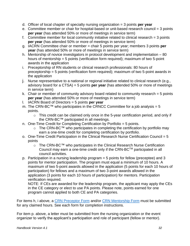- d. Officer of local chapter of specialty nursing organization = 3 points **per year**
- e. Committee member or chair for hospital-based or unit-based research council = 3 points **per year** (has attended 50% or more of meetings in service term)
- f. Committee member for local community initiative related to clinical research = 3 points **per year** (has attended 50% or more of meetings in service term)
- g. IACRN Committee chair or member = chair 5 points per year; members 3 points **per year** (has attended 50% or more of meetings in service term)
- h. Mentorship of novice investigators in protocol development and implementation 80 hours of mentorship = 5 points (verification form required); maximum of two 5-point awards in the application
- i. Preceptorship of RN students or clinical research professionals: 80 hours of preceptorship = 5 points (verification form required); maximum of two 5-point awards in the application
- j. Nurse representative to a national or regional initiative related to clinical research (e.g., advisory board for a CTSA) = 5 points **per year** (has attended 50% or more of meetings in service term)
- k. Chair or member of community advisory board related to community research = 5 points **per year** (has attended 50% or more of meetings in service term)
- l. IACRN Board of Directors = 5 points **per year**
- m. The CRN-BC<sup>™</sup> who participates in the CRNCC Committee for a job analysis = 5 points.
	- o This credit can be claimed only once in the 5-year certification period, and only if the CRN-BC™ participated in all meetings.
- n. One-Time Credit for Completing Certification by Portfolio = 5 points.
	- o The CRN-BC™ who participates in completing the certification by portfolio may earn a one-time credit for completing certification by portfolio.
- o. One-Time Credit Participation in the Clinical Research Nurse Certification Council = 5 points
	- o The CRN-BC™ who participates in the Clinical Research Nurse Certification Council may earn a one-time credit only if the CRN-BCTM participated in all council activities.
- p. Participation in a nursing leadership program = 5 points for fellow (preceptee) and 3 points for mentor participation. The program must equal a minimum of 10 hours. A maximum of two 5-point awards allowed in the application (5 points for each 10 hours of participation) for fellows and a maximum of two 3-point awards allowed in the application (3 points for each 10 hours of participation) for mentors. Participation verification required.

NOTE: If CEs are awarded for the leadership program, the applicant may apply the CEs in the CE category or elect to use PA points. Please note, points earned for one program cannot applied to both CE and PA categories.

For items h, i above, a [CRN Preceptor Form](https://www.crncc.org/_files/ugd/e60c5c_c962cc859f314774b656e0dbae5bd62e.pdf) and/or [CRN Mentorship Form](https://www.crncc.org/_files/ugd/e60c5c_06b6282738a8440e9f078f3100f96a79.pdf) must be submitted for any claimed hours. See each form for completion instructions.

For item p. above, a letter must be submitted from the nursing organization or the event organizer to verify the applicant's participation and role of participant (fellow or mentor).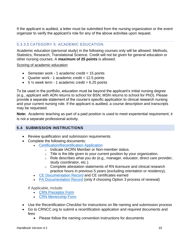If the applicant is audited, a letter must be submitted from the nursing organization or the event organizer to verify the applicant's role for any of the above activities upon request.

## <span id="page-32-0"></span>5.3.3.5 CATEGORY 5: ACADEMIC EDUCATION

Academic education (personal study) in the following courses only will be allowed: Methods, Statistics, Research, Translational Science. Credit will not be given for general education or other nursing courses. A **maximum of 25 points** is allowed.

Scoring of academic education

- Semester work 1 academic credit  $= 15$  points
- Quarter work 1 academic credit  $= 12.5$  points
- $5\frac{1}{2}$  week term 1 academic credit = 6.25 points

To be used in the portfolio, education must be beyond the applicant's initial nursing degree (e.g., applicant with ADN returns to school for BSN; MSN returns to school for PhD). Please provide a separate statement of the course's specific application to clinical research nursing and your current nursing role. If the applicant is audited, a course description and transcripts may be requested.

**Note:** Academic teaching as part of a paid position is used to meet experiential requirement; it is not a separate professional activity.

## <span id="page-32-1"></span>**5.4 SUBMISSION INSTRUCTIONS**

- Review qualification and submission requirements
- Complete the following documents:
	- [Certification/Recertification](https://www.crncc.org/apply-renew) Application
		- o Indicate IACRN Member or Non-member status.
		- $\circ$  Title is the title given to your current position by your organization.
		- $\circ$  Role describes what you do (e.g., manager, educator, direct care provider, study coordinator, etc.).
		- $\circ$  Complete attestation statements of RN licensure and clinical research practice hours in previous 5 years (excluding orientation or residency).
	- [CE Documentation Record](https://960da0ef-eb17-4a12-a84c-8fde372d4cfa.filesusr.com/ugd/e60c5c_c527cdd7ffca41ae96c6495a0af7aaf5.xlsx?dn=Continuing%20Education%20Record%20(1).xlsx) and CE certificates earned
	- PA [Documentation Record](https://960da0ef-eb17-4a12-a84c-8fde372d4cfa.filesusr.com/ugd/e60c5c_74c9b5a7a23a4dd69112d3f8c8945254.xlsx?dn=Professional%20Development%20Record%20(V2)%20(1).xlsx) (only if choosing Option 3 process of renewal)

If Applicable, include:

- [CRN Preceptor Form](https://www.crncc.org/_files/ugd/e60c5c_c962cc859f314774b656e0dbae5bd62e.pdf)
- [CRN Mentorship Form](https://www.crncc.org/_files/ugd/e60c5c_06b6282738a8440e9f078f3100f96a79.pdf)
- Use the Recertification Checklist for instructions on file naming and submission process
- Go to CRNCC.org to submit a recertification application and required documents and fees
	- Please follow the naming convention instructions for documents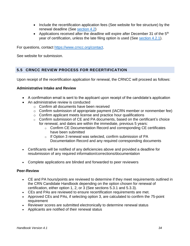- Include the recertification application fees (See website for fee structure) by the renewal deadline (See [section 4.2\)](#page-21-0)
- Applications received after the deadline will expire after December 31 of the  $5<sup>th</sup>$ year of certification, unless the late filing option is used (See [section 4.2.1\)](#page-21-1).

For questions, contact [https://www.crncc.org/contact.](https://www.crncc.org/contact)

See website for submission.

## <span id="page-33-0"></span>**5.5 CRNCC REVIEW PROCESS FOR RECERTIFICATION**

Upon receipt of the recertification application for renewal, the CRNCC will proceed as follows:

#### **Administrative Intake and Review**

- A confirmation email is sent to the applicant upon receipt of the candidate's application
- An administrative review is conducted
	- o Confirm all documents have been received
	- o Confirm submission of appropriate payment (IACRN member or nonmember fee)
	- o Confirm applicant meets license and practice hour qualifications
	- $\circ$  Confirm submission of CE and PA documents, based on the certificant's choice for renewal, and dates are within the immediate, previous 5 years:
		- o Confirm CE Documentation Record and corresponding CE certificates have been submitted
		- o If Option 3 renewal was selected, confirm submission of PA Documentation Record and any required corresponding documents
- Certificants will be notified of any deficiencies above and provided a deadline for resubmission of any required information/corrections/documentation
- Complete applications are blinded and forwarded to peer reviewers

#### **Peer-Review**

- CE and PA hours/points are reviewed to determine if they meet requirements outlined in the CRN Candidate Handbook depending on the option chosen for renewal of certification, either option 1, 2, or 3 (See sections 5.3.1 and 5.3.3).
- CEs and PAs are reviewed to ensure recertification requirements are met.
- Approved CEs and PAs, if selecting option 3, are calculated to confirm the 75-point requirement
- Reviewer scores are submitted electronically to determine renewal status
- Applicants are notified of their renewal status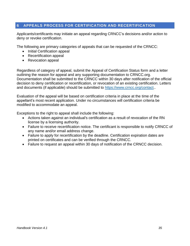## <span id="page-34-0"></span>**6 APPEALS PROCESS FOR CERTIFICATION AND RECERTIFICATION**

Applicants/certificants may initiate an appeal regarding CRNCC's decisions and/or action to deny or revoke certification.

The following are primary categories of appeals that can be requested of the CRNCC:

- Initial Certification appeal
- Recertification appeal
- Revocation appeal

Regardless of category of appeal, submit the Appeal of Certification Status form and a letter outlining the reason for appeal and any supporting documentation to CRNCC.org. Documentation shall be submitted to the CRNCC within 30 days after notification of the official decision to deny certification or recertification, or revocation of an existing certification. Letters and documents (if applicable) should be submitted to [https://www.crncc.org/contact.](https://www.crncc.org/contact).

Evaluation of the appeal will be based on certification criteria in place at the time of the appellant's most recent application. Under no circumstances will certification criteria be modified to accommodate an appeal.

Exceptions to the right to appeal shall include the following:

- Actions taken against an individual's certification as a result of revocation of the RN license by a licensing authority.
- Failure to receive recertification notice. The certificant is responsible to notify CRNCC of any name and/or email address change.
- Failure to apply for recertification by the deadline. Certification expiration dates are printed on certificates and can be verified through the CRNCC.
- Failure to request an appeal within 30 days of notification of the CRNCC decision.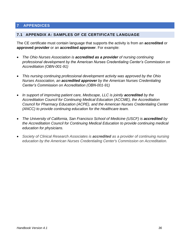## <span id="page-35-2"></span><span id="page-35-0"></span>**7 APPENDICES**

#### <span id="page-35-1"></span>**7.1 APPENDIX A: SAMPLES OF CE CERTIFICATE LANGUAGE**

The CE certificate must contain language that supports the activity is from an **accredited** or **approved provider** or an **accredited approver**. For example:

- *The Ohio Nurses Association is accredited as a provider of nursing continuing professional development by the American Nurses Credentialing Center's Commission on Accreditation (OBN-001-91)*
- *This nursing continuing professional development activity was approved by the Ohio Nurses Association, an accredited approver by the American Nurses Credentialing Center's Commission on Accreditation (OBN-001-91)*
- *In support of improving patient care, Medscape, LLC is jointly accredited by the Accreditation Council for Continuing Medical Education (ACCME), the Accreditation Council for Pharmacy Education (ACPE), and the American Nurses Credentialing Center (ANCC) to provide continuing education for the Healthcare team.*
- *The University of California, San Francisco School of Medicine (USCF) is accredited by the Accreditation Council for Continuing Medical Education to provide continuing medical education for physicians.*
- *Society of Clinical Research Associates is accredited as a provider of continuing nursing education by the American Nurses Credentialing Center's Commission on Accreditation.*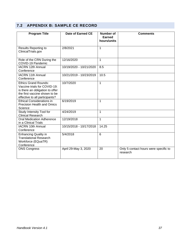## <span id="page-36-1"></span><span id="page-36-0"></span>**7.2 APPENDIX B: SAMPLE CE RECORD**

| <b>Program Title</b>                                                                                                                                              | Date of Earned CE       | <b>Number of</b><br>Earned<br>hours/units | <b>Comments</b>                                   |
|-------------------------------------------------------------------------------------------------------------------------------------------------------------------|-------------------------|-------------------------------------------|---------------------------------------------------|
| <b>Results Reporting to</b><br>ClinicalTrials.gov                                                                                                                 | 2/8/2021                | $\mathbf{1}$                              |                                                   |
| Role of the CRN During the<br>COVID-19 Pandemic                                                                                                                   | 12/16/2020              | $\mathbf{1}$                              |                                                   |
| <b>IACRN 12th Annual</b><br>Conference                                                                                                                            | 10/19/2020 - 10/21/2020 | 8.5                                       |                                                   |
| <b>IACRN 11th Annual</b><br>Conference                                                                                                                            | 10/21/2019 - 10/23/2019 | 10.5                                      |                                                   |
| <b>Ethics Grand Rounds:</b><br>Vaccine trials for COVID-19:<br>is there an obligation to offer<br>the first vaccine shown to be<br>effective to all participants? | 10/7/2020               | $\mathbf{1}$                              |                                                   |
| <b>Ethical Considerations in</b><br><b>Precision Health and Omics</b><br>Science                                                                                  | 6/19/2019               | 1                                         |                                                   |
| <b>Study Intensity Tool for</b><br><b>Clinical Research</b>                                                                                                       | 4/24/2019               | 1                                         |                                                   |
| <b>Oral Medication Adherence</b><br>in a Clinical Trials                                                                                                          | 12/19/2018              | $\mathbf{1}$                              |                                                   |
| <b>IACRN 10th Annual</b><br>Conference                                                                                                                            | 10/15/2018 - 10/17/2018 | 14.25                                     |                                                   |
| <b>Enhancing Quality in</b><br><b>Translational Research</b><br>Workforce (EQuaTR)<br>Conference                                                                  | 5/4/2018                | $6\phantom{1}6$                           |                                                   |
| <b>ONS Congress</b>                                                                                                                                               | April 29-May 3, 2020    | 20                                        | Only 5 contact hours were specific to<br>research |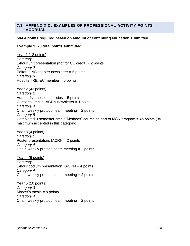#### <span id="page-37-0"></span>**7.3 APPENDIX C: EXAMPLES OF PROFESSIONAL ACTIVITY POINTS ACCRUAL**

#### **50-64 points required based on amount of continuing education submitted**

#### **Example 1: 75 total points submitted**

Year 1 (12 points) *Category 1* 1-hour unit presentation (not for CE credit) = 2 points *Category 2* Editor, ONS chapter newsletter  $= 5$  points *Category 3* Hospital IRB/IEC member = 5 points

Year 2 (43 points) *Category 2* Author, five hospital policies  $= 5$  points Guest column in IACRN newsletter = 1 point *Category 4* Chair, weekly protocol team meeting = 2 points *Category 5* Completed 3-semester credit "Methods" course as part of MSN program = 45 points (35 maximum accepted in this category)

Year 3 (4 points) *Category 1* Poster presentation, IACRN = 2 points *Category 4* Chair, weekly protocol team meeting = 2 points

Year 4 (6 points) *Category 1* 1-hour podium presentation, IACRN = 4 points *Category 4* Chair, weekly protocol team meeting = 2 points

Year 5 (10 points) *Category 3* Master's thesis  $= 8$  points *Category 4* Chair, weekly protocol team meeting = 2 points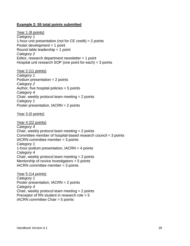#### **Example 2: 55 total points submitted**

Year 1 (8 points) *Category 1* 1-hour unit presentation (not for  $CE$  credit) = 2 points Poster development = 1 point Round table leadership = 1 point *Category 2* Editor, research department newsletter  $= 1$  point Hospital unit research SOP (one point for each) = 3 points

Year 2 (11 points) *Category 1* Podium presentation  $= 2$  points *Category 2* Author, five hospital policies  $= 5$  points *Category 4* Chair, weekly protocol team meeting = 2 points *Category 1* Poster presentation, IACRN = 2 points

Year 3 (0 points)

Year 4 (22 points) *Category 4* Chair, weekly protocol team meeting = 2 points Committee member of hospital-based research council = 3 points IACRN committee member = 3 points *Category 1* 1-hour podium presentation, IACRN = 4 points *Category 4* Chair, weekly protocol team meeting = 2 points Mentorship of novice investigators = 5 points IACRN committee member = 3 points

Year 5 (14 points) *Category 1* Poster presentation, IACRN = 2 points *Category 4* Chair, weekly protocol team meeting = 2 points Preceptor of RN student in research role  $= 5$ IACRN committee Chair = 5 points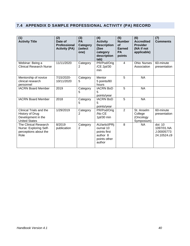## <span id="page-39-0"></span>**7.4 APPENDIX D SAMPLE PROFESSIONAL ACTIVITY (PA) RECORD**

| (1)<br><b>Activity Title</b>                                                             | (2)<br>Date of<br><b>Professional</b><br><b>Activity (PA)</b> | (3)<br>PA<br>Category<br>(select<br>one) | (4)<br><b>Activity</b><br><b>Description</b><br>(See<br>category<br>description<br>tab) | (5)<br><b>Number</b><br><b>of</b><br><b>Earned</b><br><b>PA</b><br>points | (6)<br><b>Accredited</b><br><b>Provider</b><br>(NA if not<br>applicable) | (7)<br><b>Comments</b>                             |
|------------------------------------------------------------------------------------------|---------------------------------------------------------------|------------------------------------------|-----------------------------------------------------------------------------------------|---------------------------------------------------------------------------|--------------------------------------------------------------------------|----------------------------------------------------|
| Webinar: Being a<br><b>Clinical Research Nurse</b>                                       | 11/11/2020                                                    | Category<br>2                            | PR/Pod/Orig<br>/CE 2pt/30<br>min                                                        | $\overline{4}$                                                            | <b>Ohio Nurses</b><br>Association                                        | 60-minute<br>presentation                          |
| Mentorship of novice<br>clinical research<br>personnel                                   | 7/15/2020-<br>10/11/2020                                      | Category<br>5                            | Mentor<br>5 points/80<br>hours                                                          | 5                                                                         | <b>NA</b>                                                                |                                                    |
| <b>IACRN Board Member</b>                                                                | 2019                                                          | Category<br>5                            | <b>IACRN BoD</b><br>5<br>points/year                                                    | 5                                                                         | <b>NA</b>                                                                |                                                    |
| <b>IACRN Board Member</b>                                                                | 2018                                                          | Category<br>5                            | <b>IACRN BoD</b><br>5<br>points/year                                                    | 5                                                                         | <b>NA</b>                                                                |                                                    |
| Clinical Trials and the<br>History of Drug<br>Development in the<br><b>United States</b> | 1/29/2019                                                     | Category<br>$\overline{2}$               | PR/Pod/Orig<br>/No CE<br>1pt/30 min                                                     | $\overline{2}$                                                            | St. Anselm<br>College<br>(Oncology<br>Symposium)                         | 60-minute<br>presentation                          |
| The Clinical Research<br>Nurse: Exploring Self-<br>perceptions about the<br>Role         | 8/2019<br>publication                                         | Category<br>$\overline{2}$               | AU/articl/PRj<br>ournal 10<br>points first<br>author 8<br>points other<br>author        | 8                                                                         | <b>NA</b>                                                                | doi: 10<br>1097/01.NA<br>J.00005773<br>24.10524.c9 |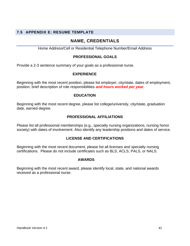## <span id="page-40-0"></span>**7.5 APPENDIX E: RESUME TEMPLATE**

## **NAME, CREDENTIALS**

Home Address/Cell or Residential Telephone Number/Email Address

#### **PROFESSIONAL GOALS**

Provide a 2-3 sentence summary of your goals as a professional nurse.

#### **EXPERIENCE**

Beginning with the most recent position, please list employer, city/state, dates of employment, position, brief description of role responsibilities *and hours worked per year***.**

#### **EDUCATION**

Beginning with the most recent degree, please list college/university, city/state, graduation date, earned degree.

#### **PROFESSIONAL AFFILIATIONS**

Please list all professional memberships (e.g., specialty nursing organizations, nursing honor society) with dates of involvement. Also identify any leadership positions and dates of service.

#### **LICENSE AND CERTIFICATIONS**

Beginning with the most recent document, please list all licenses and specialty nursing certifications. Please do not include certificates such as BLS, ACLS, PALS, or NALS.

#### **AWARDS**

Beginning with the most recent award, please identify local, state, and national awards received as a professional nurse.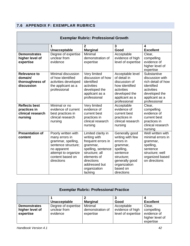## <span id="page-41-0"></span>**7.6 APPENDIX F: EXEMPLAR RUBRICS**

|                                                                      | <b>Exemplar Rubric: Professional Growth</b>                                                                                                                |                                                                                                                                                                                       |                                                                                                                                                                |                                                                                                                                     |  |  |  |
|----------------------------------------------------------------------|------------------------------------------------------------------------------------------------------------------------------------------------------------|---------------------------------------------------------------------------------------------------------------------------------------------------------------------------------------|----------------------------------------------------------------------------------------------------------------------------------------------------------------|-------------------------------------------------------------------------------------------------------------------------------------|--|--|--|
|                                                                      | 1                                                                                                                                                          | $\mathbf{2}$                                                                                                                                                                          | 3                                                                                                                                                              | $\boldsymbol{4}$                                                                                                                    |  |  |  |
| <b>Demonstrates</b>                                                  | <b>Unacceptable</b><br>Degree of expertise                                                                                                                 | <b>Marginal</b><br>Minimal                                                                                                                                                            | Good<br>Acceptable                                                                                                                                             | <b>Excellent</b><br>Clear,                                                                                                          |  |  |  |
| higher level of<br>expertise                                         | unclear from<br>evidence                                                                                                                                   | demonstration of<br>expertise                                                                                                                                                         | evidence of high<br>level of expertise                                                                                                                         | compelling<br>evidence of<br>higher level of<br>expertise                                                                           |  |  |  |
| <b>Relevance to</b><br>domain/<br>thoroughness of<br>discussion      | Minimal discussion<br>of how identified<br>activities developed<br>the applicant as a<br>professional                                                      | Very limited<br>discussion of how<br>identified<br>activities<br>developed the<br>applicant as a<br>professional                                                                      | Acceptable level<br>of detail in<br>discussion of<br>how identified<br>activities<br>developed the<br>applicant as a<br>professional                           | Substantive<br>discussion with<br>rich detail of how<br>identified<br>activities<br>developed the<br>applicant as a<br>professional |  |  |  |
| <b>Reflects best</b><br>practices in<br>clinical research<br>nursing | Minimal or no<br>evidence of current<br>best practices in<br>clinical research<br>nursing                                                                  | Very limited<br>evidence of<br>current best<br>practices in<br>clinical research<br>nursing                                                                                           | Acceptable<br>evidence of<br>current best<br>practices in<br>clinical research<br>nursing                                                                      | Clear,<br>compelling<br>evidence of<br>current best<br>practices in<br>clinical research<br>nursing                                 |  |  |  |
| <b>Presentation of</b><br>content                                    | Poorly written with<br>many errors in<br>grammar, spelling,<br>sentence structure;<br>no apparent<br>attempt to organize<br>content based on<br>directions | Limited clarity in<br>writing with<br>frequent errors in<br>grammar,<br>spelling, sentence<br>structure; all<br>elements of<br>directions<br>addressed but<br>organization<br>lacking | Generally good<br>writing with few<br>errors in<br>grammar,<br>spelling,<br>sentence<br>structure;<br>generally good<br>organization<br>based on<br>directions | Well written with<br>minimal errors in<br>grammar,<br>spelling,<br>sentence<br>structure; well<br>organized based<br>on directions  |  |  |  |

| <b>Exemplar Rubric: Professional Practice</b> |                     |                  |                    |                  |  |
|-----------------------------------------------|---------------------|------------------|--------------------|------------------|--|
|                                               |                     |                  |                    |                  |  |
|                                               | Unacceptable        | <b>Marginal</b>  | Good               | <b>Excellent</b> |  |
| <b>Demonstrates</b>                           | Degree of expertise | Minimal          | Acceptable         | Clear,           |  |
| higher level of                               | unclear from        | demonstration of | evidence of high   | compelling       |  |
| expertise                                     | evidence            | expertise        | level of expertise | evidence of      |  |
|                                               |                     |                  |                    | higher level of  |  |
|                                               |                     |                  |                    | expertise        |  |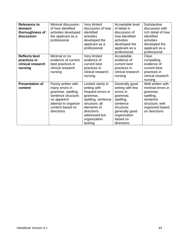| <b>Relevance to</b><br>domain/<br>thoroughness of<br>discussion      | Minimal discussion<br>of how identified<br>activities developed<br>the applicant as a<br>professional                                                      | Very limited<br>discussion of how<br>identified<br>activities<br>developed the<br>applicant as a<br>professional                                                                      | Acceptable level<br>of detail in<br>discussion of<br>how identified<br>activities<br>developed the<br>applicant as a<br>professional                           | Substantive<br>discussion with<br>rich detail of how<br>identified<br>activities<br>developed the<br>applicant as a<br>professional |
|----------------------------------------------------------------------|------------------------------------------------------------------------------------------------------------------------------------------------------------|---------------------------------------------------------------------------------------------------------------------------------------------------------------------------------------|----------------------------------------------------------------------------------------------------------------------------------------------------------------|-------------------------------------------------------------------------------------------------------------------------------------|
| <b>Reflects best</b><br>practices in<br>clinical research<br>nursing | Minimal or no<br>evidence of current<br>best practices in<br>clinical research<br>nursing                                                                  | Very limited<br>evidence of<br>current best<br>practices in<br>clinical research<br>nursing                                                                                           | Acceptable<br>evidence of<br>current best<br>practices in<br>clinical research<br>nursing                                                                      | Clear,<br>compelling<br>evidence of<br>current best<br>practices in<br>clinical research<br>nursing                                 |
| <b>Presentation of</b><br>content                                    | Poorly written with<br>many errors in<br>grammar, spelling,<br>sentence structure;<br>no apparent<br>attempt to organize<br>content based on<br>directions | Limited clarity in<br>writing with<br>frequent errors in<br>grammar,<br>spelling, sentence<br>structure; all<br>elements of<br>directions<br>addressed but<br>organization<br>lacking | Generally good<br>writing with few<br>errors in<br>grammar,<br>spelling,<br>sentence<br>structure;<br>generally good<br>organization<br>based on<br>directions | Well written with<br>minimal errors in<br>grammar,<br>spelling,<br>sentence<br>structure; well<br>organized based<br>on directions  |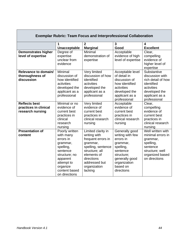| <b>Exemplar Rubric: Team Focus and Interprofessional Collaboration</b> |                                                                                                                                                                        |                                                                                                                                                                                       |                                                                                                                                                                |                                                                                                                                     |
|------------------------------------------------------------------------|------------------------------------------------------------------------------------------------------------------------------------------------------------------------|---------------------------------------------------------------------------------------------------------------------------------------------------------------------------------------|----------------------------------------------------------------------------------------------------------------------------------------------------------------|-------------------------------------------------------------------------------------------------------------------------------------|
|                                                                        | 1<br>Unacceptable                                                                                                                                                      | 2<br><b>Marginal</b>                                                                                                                                                                  | $\overline{3}$<br>Good                                                                                                                                         | 4<br><b>Excellent</b>                                                                                                               |
| <b>Demonstrates higher</b><br>level of expertise                       | Degree of<br>expertise<br>unclear from<br>evidence                                                                                                                     | Minimal<br>demonstration of<br>expertise                                                                                                                                              | Acceptable<br>evidence of high<br>level of expertise                                                                                                           | Clear,<br>compelling<br>evidence of<br>higher level of<br>expertise                                                                 |
| Relevance to domain/<br>thoroughness of<br>discussion                  | Minimal<br>discussion of<br>how identified<br>activities<br>developed the<br>applicant as a<br>professional                                                            | Very limited<br>discussion of how<br>identified<br>activities<br>developed the<br>applicant as a<br>professional                                                                      | Acceptable level<br>of detail in<br>discussion of<br>how identified<br>activities<br>developed the<br>applicant as a<br>professional                           | Substantive<br>discussion with<br>rich detail of how<br>identified<br>activities<br>developed the<br>applicant as a<br>professional |
| <b>Reflects best</b><br>practices in clinical<br>research nursing      | Minimal or no<br>evidence of<br>current best<br>practices in<br>clinical<br>research<br>nursing                                                                        | Very limited<br>evidence of<br>current best<br>practices in<br>clinical research<br>nursing                                                                                           | Acceptable<br>evidence of<br>current best<br>practices in<br>clinical research<br>nursing                                                                      | Clear,<br>compelling<br>evidence of<br>current best<br>practices in<br>clinical research<br>nursing                                 |
| <b>Presentation of</b><br>content                                      | Poorly written<br>with many<br>errors in<br>grammar,<br>spelling,<br>sentence<br>structure; no<br>apparent<br>attempt to<br>organize<br>content based<br>on directions | Limited clarity in<br>writing with<br>frequent errors in<br>grammar,<br>spelling, sentence<br>structure; all<br>elements of<br>directions<br>addressed but<br>organization<br>lacking | Generally good<br>writing with few<br>errors in<br>grammar,<br>spelling,<br>sentence<br>structure;<br>generally good<br>organization<br>based on<br>directions | Well written with<br>minimal errors in<br>grammar,<br>spelling,<br>sentence<br>structure; well<br>organized based<br>on directions  |